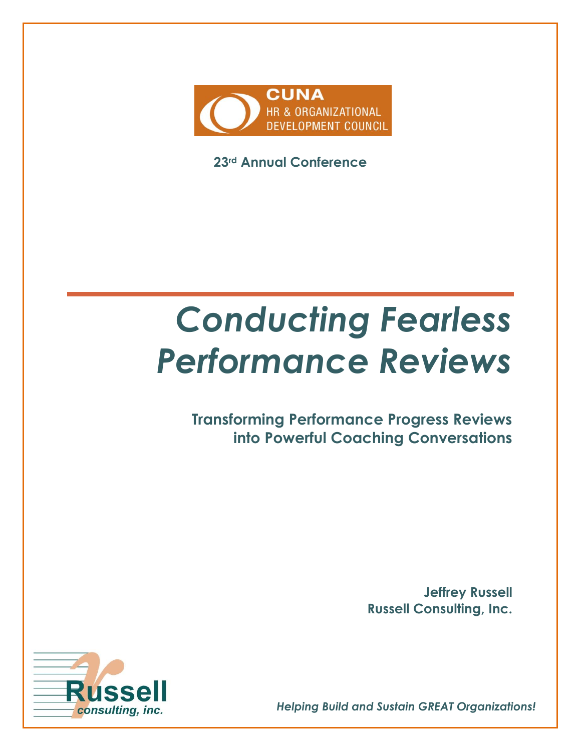

**23rd Annual Conference**

# *Conducting Fearless Performance Reviews*

**Transforming Performance Progress Reviews into Powerful Coaching Conversations**

> **Jeffrey Russell Russell Consulting, Inc.**



*Helping Build and Sustain GREAT Organizations!*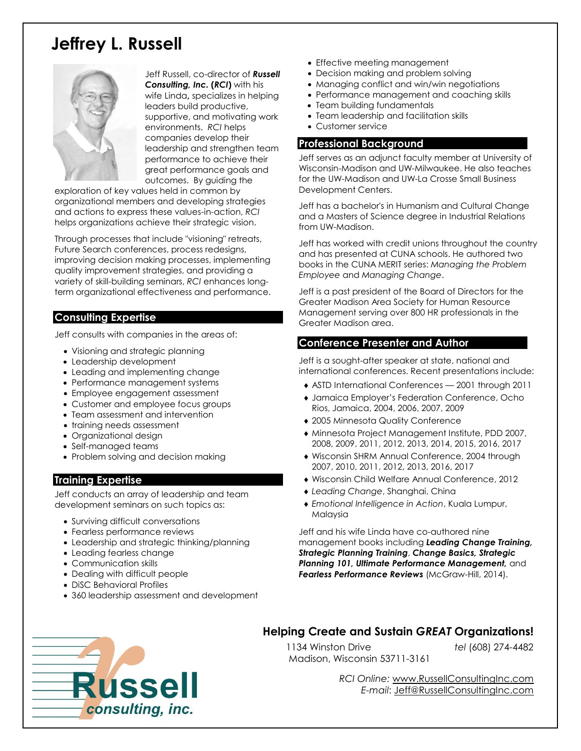### **Jeffrey L. Russell**



Jeff Russell, co-director of *Russell Consulting, Inc.* **(***RCI***)** with his wife Linda**,** specializes in helping leaders build productive, supportive, and motivating work environments. *RCI* helps companies develop their leadership and strengthen team performance to achieve their great performance goals and outcomes. By guiding the

exploration of key values held in common by organizational members and developing strategies and actions to express these values-in-action, *RCI* helps organizations achieve their strategic vision.

Through processes that include "visioning" retreats, Future Search conferences, process redesigns, improving decision making processes, implementing quality improvement strategies, and providing a variety of skill-building seminars, *RCI* enhances longterm organizational effectiveness and performance.

#### **Consulting Expertise**

Jeff consults with companies in the areas of:

- Visioning and strategic planning
- Leadership development
- Leading and implementing change
- Performance management systems
- Employee engagement assessment
- Customer and employee focus groups
- Team assessment and intervention
- training needs assessment
- Organizational design
- Self-managed teams
- Problem solving and decision making

#### **Training Expertise**

Jeff conducts an array of leadership and team development seminars on such topics as:

- Surviving difficult conversations
- Fearless performance reviews
- Leadership and strategic thinking/planning
- Leading fearless change
- Communication skills
- Dealing with difficult people
- DiSC Behavioral Profiles
- 360 leadership assessment and development
- Effective meeting management
- Decision making and problem solving
- Managing conflict and win/win negotiations
- Performance management and coaching skills
- Team building fundamentals
- Team leadership and facilitation skills
- Customer service

#### **Professional Background**

Jeff serves as an adjunct faculty member at University of Wisconsin-Madison and UW-Milwaukee. He also teaches for the UW-Madison and UW-La Crosse Small Business Development Centers.

Jeff has a bachelor's in Humanism and Cultural Change and a Masters of Science degree in Industrial Relations from UW-Madison.

Jeff has worked with credit unions throughout the country and has presented at CUNA schools. He authored two books in the CUNA MERIT series: *Managing the Problem Employee* and *Managing Change*.

Jeff is a past president of the Board of Directors for the Greater Madison Area Society for Human Resource Management serving over 800 HR professionals in the Greater Madison area.

#### **Conference Presenter and Author**

Jeff is a sought-after speaker at state, national and international conferences. Recent presentations include:

- ASTD International Conferences 2001 through 2011
- Jamaica Employer's Federation Conference, Ocho Rios, Jamaica, 2004, 2006, 2007, 2009
- 2005 Minnesota Quality Conference
- Minnesota Project Management Institute, PDD 2007, 2008, 2009, 2011, 2012, 2013, 2014, 2015, 2016, 2017
- Wisconsin SHRM Annual Conference, 2004 through 2007, 2010, 2011, 2012, 2013, 2016, 2017
- Wisconsin Child Welfare Annual Conference, 2012
- *Leading Change*, Shanghai, China
- *Emotional Intelligence in Action*, Kuala Lumpur, Malaysia

Jeff and his wife Linda have co-authored nine management books including *Leading Change Training, Strategic Planning Training*, *Change Basics, Strategic Planning 101, Ultimate Performance Management,* and Fearless Performance Reviews (McGraw-Hill, 2014).



#### **Helping Create and Sustain** *GREAT* **Organizations!**

 1134 Winston Drive *tel* (608) 274-4482 Madison, Wisconsin 53711-3161

*RCI Online:* [www.RussellConsultingInc.com](http://www.russellconsultinginc.com/) *E-mail*: [Jeff@RussellConsultingInc.com](mailto:Jeff@RussellConsultingInc.com)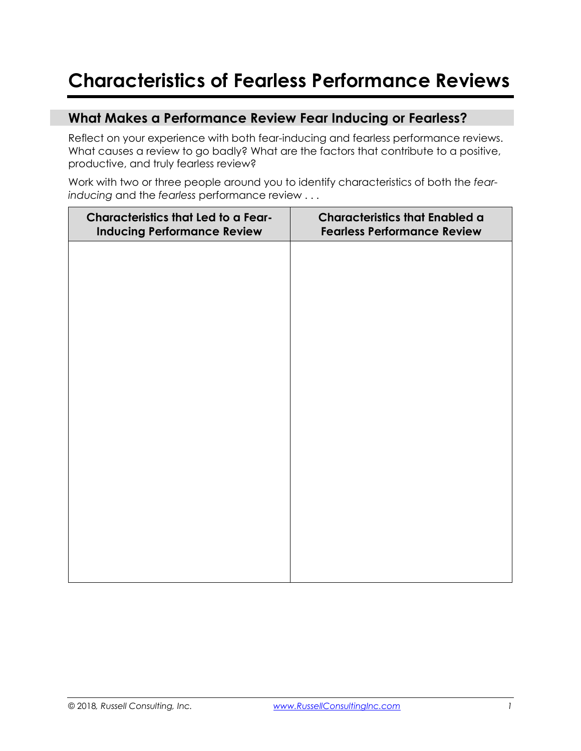### **Characteristics of Fearless Performance Reviews**

#### **What Makes a Performance Review Fear Inducing or Fearless?**

Reflect on your experience with both fear-inducing and fearless performance reviews. What causes a review to go badly? What are the factors that contribute to a positive, productive, and truly fearless review?

Work with two or three people around you to identify characteristics of both the *fearinducing* and the *fearless* performance review . . .

| <b>Characteristics that Led to a Fear-</b><br><b>Inducing Performance Review</b> | <b>Characteristics that Enabled a</b><br><b>Fearless Performance Review</b> |  |  |
|----------------------------------------------------------------------------------|-----------------------------------------------------------------------------|--|--|
|                                                                                  |                                                                             |  |  |
|                                                                                  |                                                                             |  |  |
|                                                                                  |                                                                             |  |  |
|                                                                                  |                                                                             |  |  |
|                                                                                  |                                                                             |  |  |
|                                                                                  |                                                                             |  |  |
|                                                                                  |                                                                             |  |  |
|                                                                                  |                                                                             |  |  |
|                                                                                  |                                                                             |  |  |
|                                                                                  |                                                                             |  |  |
|                                                                                  |                                                                             |  |  |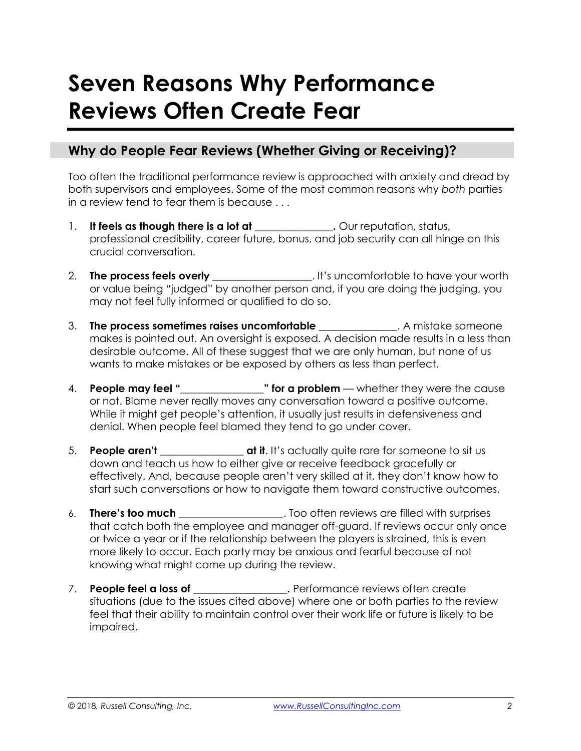# **Seven Reasons Why Performance Reviews Often Create Fear**

#### **Why do People Fear Reviews (Whether Giving or Receiving)?**

Too often the traditional performance review is approached with anxiety and dread by both supervisors and employees. Some of the most common reasons why *both* parties in a review tend to fear them is because . . .

- 1. **It feels as though there is a lot at \_\_\_\_\_\_\_\_\_\_\_\_**. Our reputation, status, professional credibility, career future, bonus, and job security can all hinge on this crucial conversation.
- 2. **The process feels overly \_\_\_\_\_\_\_\_\_\_\_\_\_\_\_\_\_\_\_**. It's uncomfortable to have your worth or value being "judged" by another person and, if you are doing the judging, you may not feel fully informed or qualified to do so.
- 3. **The process sometimes raises uncomfortable \_\_\_\_\_\_\_\_\_\_\_\_\_\_\_**. A mistake someone makes is pointed out. An oversight is exposed. A decision made results in a less than desirable outcome. All of these suggest that we are only human, but none of us wants to make mistakes or be exposed by others as less than perfect.
- 4. **People may feel "** \_\_\_\_\_\_\_\_\_\_\_\_\_" **for a problem** whether they were the cause or not. Blame never really moves any conversation toward a positive outcome. While it might get people's attention, it usually just results in defensiveness and denial. When people feel blamed they tend to go under cover.
- 5. **People aren't \_\_\_\_\_\_\_\_\_\_\_\_\_\_\_\_ at it**. It's actually quite rare for someone to sit us down and teach us how to either give or receive feedback gracefully or effectively. And, because people aren't very skilled at it, they don't know how to start such conversations or how to navigate them toward constructive outcomes.
- 6. **There's too much** Too often reviews are filled with surprises that catch both the employee and manager off-guard. If reviews occur only once or twice a year or if the relationship between the players is strained, this is even more likely to occur. Each party may be anxious and fearful because of not knowing what might come up during the review.
- 7. **People feel a loss of \_\_\_\_\_\_\_\_\_\_\_\_\_\_\_\_\_\_.** Performance reviews often create situations (due to the issues cited above) where one or both parties to the review feel that their ability to maintain control over their work life or future is likely to be impaired.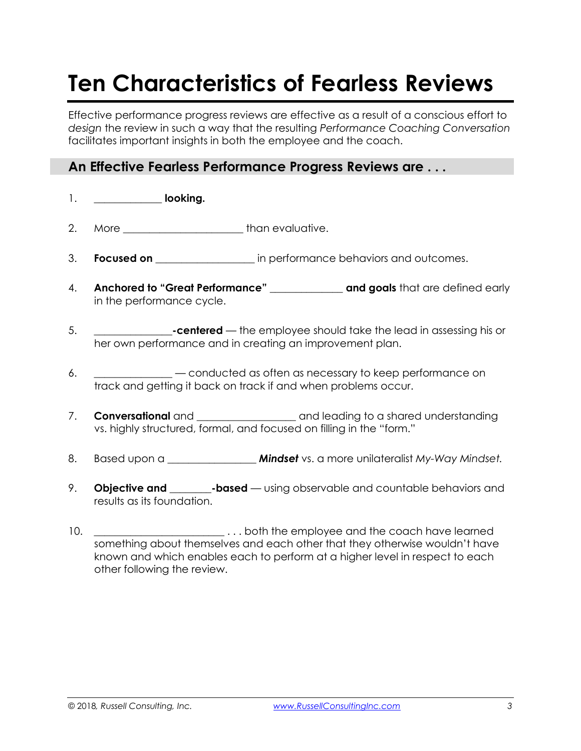# **Ten Characteristics of Fearless Reviews**

Effective performance progress reviews are effective as a result of a conscious effort to *design* the review in such a way that the resulting *Performance Coaching Conversation* facilitates important insights in both the employee and the coach.

#### **An Effective Fearless Performance Progress Reviews are . . .**

- 1. **\_\_\_\_\_\_\_\_\_\_\_\_\_ looking.**
- 2. More **\_\_\_\_\_\_\_\_\_\_\_\_\_\_\_\_\_\_\_\_\_\_\_** than evaluative.
- 3. **Focused on Example 20 in performance behaviors and outcomes.**
- 4. **Anchored to "Great Performance" and goals** that are defined early in the performance cycle.
- 5. **\_\_\_\_\_\_\_\_\_\_\_\_\_\_\_-centered** the employee should take the lead in assessing his or her own performance and in creating an improvement plan.
- 6. **\_\_\_\_\_\_\_\_\_\_\_\_\_\_\_** conducted as often as necessary to keep performance on track and getting it back on track if and when problems occur.
- 7. **Conversational** and \_\_\_\_\_\_\_\_\_\_\_\_\_\_\_\_\_\_\_\_\_ and leading to a shared understanding vs. highly structured, formal, and focused on filling in the "form."
- 8. Based upon a *\_\_\_\_\_\_\_\_\_\_\_\_\_\_\_\_\_ Mindset* vs. a more unilateralist *My-Way Mindset.*
- 9. **Objective and \_\_\_\_\_\_\_\_-based** using observable and countable behaviors and results as its foundation.
- 10. **\_\_\_\_\_\_\_\_\_\_\_\_\_\_\_\_\_\_\_\_\_\_\_\_\_** . . . both the employee and the coach have learned something about themselves and each other that they otherwise wouldn't have known and which enables each to perform at a higher level in respect to each other following the review.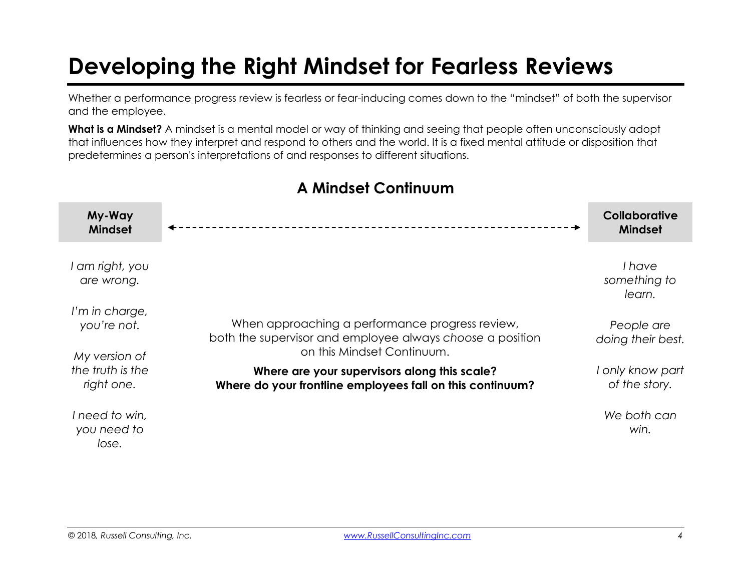# **Developing the Right Mindset for Fearless Reviews**

Whether a performance progress review is fearless or fear-inducing comes down to the "mindset" of both the supervisor and the employee.

**What is a Mindset?** A mindset is a mental model or way of thinking and seeing that people often unconsciously adopt that influences how they interpret and respond to others and the world. It is a fixed mental attitude or disposition that predetermines a person's interpretations of and responses to different situations.

| My-Way<br><b>Mindset</b>                                                       |                                                                                                                                            | Collaborative<br><b>Mindset</b>   |
|--------------------------------------------------------------------------------|--------------------------------------------------------------------------------------------------------------------------------------------|-----------------------------------|
| I am right, you<br>are wrong.                                                  |                                                                                                                                            | I have<br>something to<br>learn.  |
| I'm in charge,<br>you're not.<br>My version of                                 | When approaching a performance progress review,<br>both the supervisor and employee always choose a position<br>on this Mindset Continuum. | People are<br>doing their best.   |
| the truth is the<br>Where are your supervisors along this scale?<br>right one. | Where do your frontline employees fall on this continuum?                                                                                  | I only know part<br>of the story. |
| I need to win,<br>you need to<br>lose.                                         |                                                                                                                                            | We both can<br>win.               |

#### **A Mindset Continuum**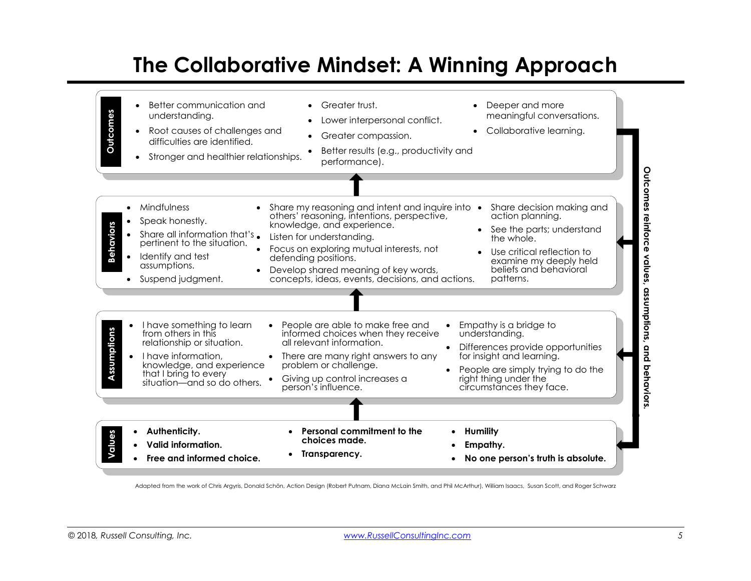## **The Collaborative Mindset: A Winning Approach**



Adapted from the work of Chris Argyris, Donald Schön, Action Design (Robert Putnam, Diana McLain Smith, and Phil McArthur), William Isaacs, Susan Scott, and Roger Schwarz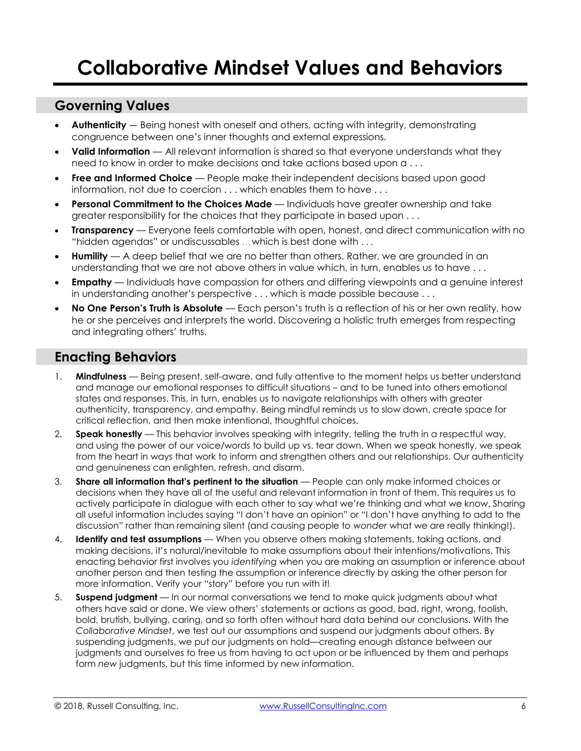#### **Governing Values**

- · **Authenticity**  Being honest with oneself and others, acting with integrity, demonstrating congruence between one's inner thoughts and external expressions.
- · **Valid Information** All relevant information is shared so that everyone understands what they need to know in order to make decisions and take actions based upon a . . .
- **Free and Informed Choice** People make their independent decisions based upon good information, not due to coercion . . . which enables them to have . . .
- · **Personal Commitment to the Choices Made**  Individuals have greater ownership and take greater responsibility for the choices that they participate in based upon . . .
- · **Transparency**  Everyone feels comfortable with open, honest, and direct communication with no "hidden agendas" or undiscussables . . . which is best done with . . .
- · **Humility**  A deep belief that we are no better than others. Rather, we are grounded in an understanding that we are not above others in value which, in turn, enables us to have . . .
- **Empathy** Individuals have compassion for others and differing viewpoints and a genuine interest in understanding another's perspective . . . which is made possible because . . .
- · **No One Person's Truth is Absolute** Each person's truth is a reflection of his or her own reality, how he or she perceives and interprets the world. Discovering a holistic truth emerges from respecting and integrating others' truths.

#### **Enacting Behaviors**

- 1. **Mindfulness** Being present, self-aware, and fully attentive to the moment helps us better understand and manage our emotional responses to difficult situations – and to be tuned into others emotional states and responses. This, in turn, enables us to navigate relationships with others with greater authenticity, transparency, and empathy. Being mindful reminds us to slow down, create space for critical reflection, and then make intentional, thoughtful choices.
- 2. **Speak honestly**  This behavior involves speaking with integrity, telling the truth in a respectful way, and using the power of our voice/words to build up vs. tear down. When we speak honestly, we speak from the heart in ways that work to inform and strengthen others and our relationships. Our authenticity and genuineness can enlighten, refresh, and disarm.
- 3. **Share all information that's pertinent to the situation** People can only make informed choices or decisions when they have all of the useful and relevant information in front of them. This requires us to actively participate in dialogue with each other to say what we're thinking and what we know. Sharing all useful information includes saying "I don't have an opinion" or "I don't have anything to add to the discussion" rather than remaining silent (and causing people to *wonder* what we are really thinking!).
- 4. **Identify and test assumptions**  When you observe others making statements, taking actions, and making decisions, it's natural/inevitable to make assumptions about their intentions/motivations. This enacting behavior first involves you *identifying* when you are making an assumption or inference about another person and then testing the assumption or inference directly by asking the other person for more information. Verify your "story" before you run with it!
- 5. **Suspend judgment** In our normal conversations we tend to make quick judgments about what others have said or done. We view others' statements or actions as good, bad, right, wrong, foolish, bold, brutish, bullying, caring, and so forth often without hard data behind our conclusions. With the *Collaborative Mindset*, we test out our assumptions and suspend our judgments about others. By suspending judgments, we put our judgments on hold—creating enough distance between our judgments and ourselves to free us from having to act upon or be influenced by them and perhaps form *new* judgments, but this time informed by new information.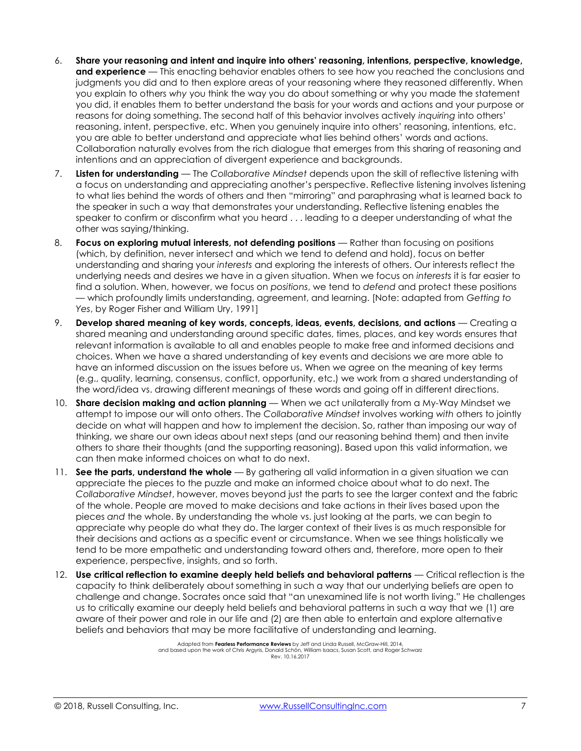- 6. **Share your reasoning and intent and inquire into others' reasoning, intentions, perspective, knowledge, and experience** — This enacting behavior enables others to see how you reached the conclusions and judgments you did and to then explore areas of your reasoning where they reasoned differently. When you explain to others *why* you think the way you do about something or why you made the statement you did, it enables them to better understand the basis for your words and actions and your purpose or reasons for doing something. The second half of this behavior involves actively *inquiring* into others' reasoning, intent, perspective, etc. When you genuinely inquire into others' reasoning, intentions, etc. you are able to better understand and appreciate what lies behind others' words and actions. Collaboration naturally evolves from the rich dialogue that emerges from this sharing of reasoning and intentions and an appreciation of divergent experience and backgrounds.
- 7. **Listen for understanding**  The *Collaborative Mindset* depends upon the skill of reflective listening with a focus on understanding and appreciating another's perspective. Reflective listening involves listening to what lies behind the words of others and then "mirroring" and paraphrasing what is learned back to the speaker in such a way that demonstrates your understanding. Reflective listening enables the speaker to confirm or disconfirm what you heard . . . leading to a deeper understanding of what the other was saying/thinking.
- 8. **Focus on exploring mutual interests, not defending positions**  Rather than focusing on positions (which, by definition, never intersect and which we tend to defend and hold), focus on better understanding and sharing your *interests* and exploring the interests of others. Our interests reflect the underlying needs and desires we have in a given situation. When we focus on *interests* it is far easier to find a solution. When, however, we focus on *positions*, we tend to *defend* and protect these positions — which profoundly limits understanding, agreement, and learning. [Note: adapted from *Getting to Yes*, by Roger Fisher and William Ury, 1991]
- 9. **Develop shared meaning of key words, concepts, ideas, events, decisions, and actions** Creating a shared meaning and understanding around specific dates, times, places, and key words ensures that relevant information is available to all and enables people to make free and informed decisions and choices. When we have a shared understanding of key events and decisions we are more able to have an informed discussion on the issues before us. When we agree on the meaning of key terms (e.g., quality, learning, consensus, conflict, opportunity, etc.) we work from a shared understanding of the word/idea vs. drawing different meanings of these words and going off in different directions.
- 10. **Share decision making and action planning** When we act unilaterally from a My-Way Mindset we attempt to impose our will onto others. The *Collaborative Mindset* involves working *with* others to jointly decide on what will happen and how to implement the decision. So, rather than imposing our way of thinking, we share our own ideas about next steps (and our reasoning behind them) and then invite others to share their thoughts (and the supporting reasoning). Based upon this valid information, we can then make informed choices on what to do next.
- 11. **See the parts, understand the whole** By gathering all valid information in a given situation we can appreciate the pieces to the puzzle and make an informed choice about what to do next. The *Collaborative Mindset*, however, moves beyond just the parts to see the larger context and the fabric of the whole. People are moved to make decisions and take actions in their lives based upon the pieces *and* the whole. By understanding the whole vs. just looking at the parts, we can begin to appreciate why people do what they do. The larger context of their lives is as much responsible for their decisions and actions as a specific event or circumstance. When we see things holistically we tend to be more empathetic and understanding toward others and, therefore, more open to their experience, perspective, insights, and so forth.
- 12. **Use critical reflection to examine deeply held beliefs and behavioral patterns** Critical reflection is the capacity to think deliberately about something in such a way that our underlying beliefs are open to challenge and change. Socrates once said that "an unexamined life is not worth living." He challenges us to critically examine our deeply held beliefs and behavioral patterns in such a way that we (1) are aware of their power and role in our life and (2) are then able to entertain and explore alternative beliefs and behaviors that may be more facilitative of understanding and learning.

Adapted from **Fearless Performance Reviews** by Jeff and Linda Russell, McGraw-Hill, 2014, and based upon the work of Chris Argyris, Donald Schön, William Isaacs, Susan Scott, and Roger Schwarz Rev. 10.16.2017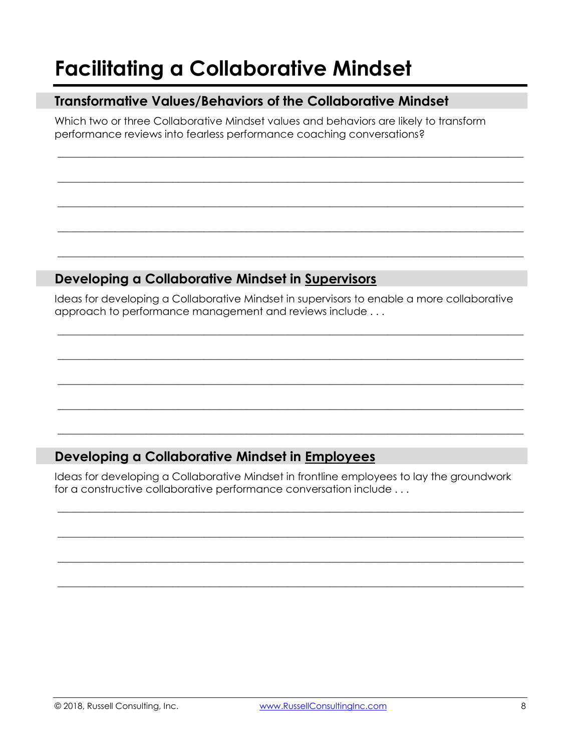## **Facilitating a Collaborative Mindset**

#### **Transformative Values/Behaviors of the Collaborative Mindset**

Which two or three Collaborative Mindset values and behaviors are likely to transform performance reviews into fearless performance coaching conversations?

 $\_$  , and the set of the set of the set of the set of the set of the set of the set of the set of the set of the set of the set of the set of the set of the set of the set of the set of the set of the set of the set of th

 $\_$  , and the set of the set of the set of the set of the set of the set of the set of the set of the set of the set of the set of the set of the set of the set of the set of the set of the set of the set of the set of th

 $\_$  , and the set of the set of the set of the set of the set of the set of the set of the set of the set of the set of the set of the set of the set of the set of the set of the set of the set of the set of the set of th

 $\_$  , and the set of the set of the set of the set of the set of the set of the set of the set of the set of the set of the set of the set of the set of the set of the set of the set of the set of the set of the set of th

 $\_$  , and the set of the set of the set of the set of the set of the set of the set of the set of the set of the set of the set of the set of the set of the set of the set of the set of the set of the set of the set of th

#### **Developing a Collaborative Mindset in Supervisors**

Ideas for developing a Collaborative Mindset in supervisors to enable a more collaborative approach to performance management and reviews include . . .

 $\_$  , and the set of the set of the set of the set of the set of the set of the set of the set of the set of the set of the set of the set of the set of the set of the set of the set of the set of the set of the set of th

 $\_$  , and the set of the set of the set of the set of the set of the set of the set of the set of the set of the set of the set of the set of the set of the set of the set of the set of the set of the set of the set of th

 $\_$  , and the set of the set of the set of the set of the set of the set of the set of the set of the set of the set of the set of the set of the set of the set of the set of the set of the set of the set of the set of th

 $\_$  , and the set of the set of the set of the set of the set of the set of the set of the set of the set of the set of the set of the set of the set of the set of the set of the set of the set of the set of the set of th

 $\_$  , and the set of the set of the set of the set of the set of the set of the set of the set of the set of the set of the set of the set of the set of the set of the set of the set of the set of the set of the set of th

#### **Developing a Collaborative Mindset in Employees**

Ideas for developing a Collaborative Mindset in frontline employees to lay the groundwork for a constructive collaborative performance conversation include . . .

 $\_$  , and the set of the set of the set of the set of the set of the set of the set of the set of the set of the set of the set of the set of the set of the set of the set of the set of the set of the set of the set of th

 $\_$  , and the set of the set of the set of the set of the set of the set of the set of the set of the set of the set of the set of the set of the set of the set of the set of the set of the set of the set of the set of th

 $\_$  , and the set of the set of the set of the set of the set of the set of the set of the set of the set of the set of the set of the set of the set of the set of the set of the set of the set of the set of the set of th

 $\_$  , and the set of the set of the set of the set of the set of the set of the set of the set of the set of the set of the set of the set of the set of the set of the set of the set of the set of the set of the set of th